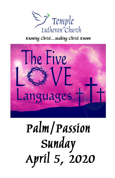

# Knowing Christ... Making Christ Known



# Palm/Passion **Sunday<br>April 5, 2020**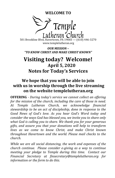**WELCOME TO**



501 Brookline Blvd, Havertown, PA 19083 — (610) 446-3270 www.templelutheran.org

*OUR MISSION – "TO KNOW CHRIST AND MAKE CHRIST KNOWN"*

# **Visiting today? Welcome! April 5, 2020 Notes for Today's Services**

# **We hope that you will be able to join with us in worship through the live streaming on the website templelutheran.org**

**OFFERING** *- During today's service we cannot collect an offering for the mission of the church, including the care of those in need. At Temple Lutheran Church, we acknowledge financial stewardship to be an act of discipleship, done in response to the Good News of God's love. As you hear God's Word today and consider the ways God has blessed you, we invite you to share only what God is calling you to share. We thank you for your generous gifts, and assure you that your donations will help to transform lives as we come to know Christ, and make Christ known throughout Havertown and the world. Please mail checks to the church.*

*While we are all social distancing, the work and expenses of the church continue. Please consider e-giving as a way to continue meeting your pledge to Temple during this time. Contact our Financial Secretary at finsecretary@templelutheran.org for information or the form to do this.*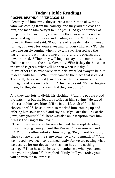# **Today's Bible Readings GOSPEL READING: LUKE 23:26-43**

<sup>26</sup>As they led him away, they seized a man, Simon of Cyrene, who was coming from the country, and they laid the cross on him, and made him carry it behind Jesus. <sup>27</sup>A great number of the people followed him, and among them were women who were beating their breasts and wailing for him. 28But Jesus turned to them and said, "Daughters of Jerusalem, do not weep for me, but weep for yourselves and for your children. 29For the days are surely coming when they will say, 'Blessed are the barren, and the wombs that never bore, and the breasts that never nursed.' 30Then they will begin to say to the mountains, 'Fall on us'; and to the hills, 'Cover us.' 31For if they do this when the wood is green, what will happen when it is dry?" <sup>32</sup>Two others also, who were criminals, were led away to be put to death with him. 33When they came to the place that is called The Skull, they crucified Jesus there with the criminals, one on his right and one on his left. [[<sup>34</sup>Then Jesus said, "Father, forgive them; for they do not know what they are doing."]]

And they cast lots to divide his clothing. 35And the people stood by, watching; but the leaders scoffed at him, saying, "He saved others; let him save himself if he is the Messiah of God, his chosen one!" 36The soldiers also mocked him, coming up and offering him sour wine, 37and saying, "If you are the King of the Jews, save yourself!" 38There was also an inscription over him, "This is the King of the Jews."

<sup>39</sup>One of the criminals who were hanged there kept deriding him and saying, "Are you not the Messiah? Save yourself and us!" 40But the other rebuked him, saying, "Do you not fear God, since you are under the same sentence of condemnation? 41And we indeed have been condemned justly, for we are getting what we deserve for our deeds, but this man has done nothing wrong." 42Then he said, "Jesus, remember me when you come into your kingdom." 43He replied, "Truly I tell you, today you will be with me in Paradise."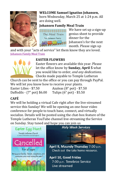

#### **WELCOME Samuel Ignatius Johansen,**  born Wednesday, March 25 at 1:24 p.m. All are doing well.

# **Johansen Family Meal Train**



We have set up a sign-up genius sheet to provide dinner for the Johansen's for the next month. Please sign up

and with your "acts of service" let them know they are loved. [Johansen Family Meal Train](https://www.signupgenius.com/go/10C0B45AEA82AABFA7-johansen)



#### **EASTER FLOWERS**

Easter flowers are available this year. Please let the office know by **Sunday, April 5** what you would like to order, *and any dedications*. Checks made payable to Temple Lutheran

Church can be sent to the office or you can pay through PayPal. We will let you know how to receive your plants.

Daffodils - (7" pot) \$6.00 Tulips (6" pot) - \$5.50

Easter Lilies - \$7.50 Azaleas (8" pot) - \$7.50

# **CAFÉ**

We will be holding a virtual Cafe right after the live-streamed service this Sunday! We will be opening an one-hour video conference for people to touch base, connect, and virtually socialize. Details will be posted using the chat-box feature of the Temple Lutheran YouTube channel live-streaming the Service on Sunday. Stay tuned and hope you can join us

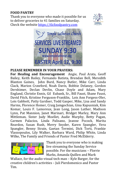#### **FOOD PANTRY**

Thank you to everyone who made it possible for us to deliver groceries to 41 families on Saturday. Check the website [https://tlcfoodpantry.com](https://tlcfoodpantry.com/)





#### **PLEASE REMEMBER IN YOUR PRAYERS:**

**For Healing and Encouragement** Angie, Paul Arata, Geoff Bailey, Keith Bailey, Fernando Batista, Brendan Bell, Meredith Blanton Gaines, John Burd, Nancy Butler, Mike Carr, Linda Clack, Marion Crawford, Noah Davis, Bobbie Delaney, Gordon Dershimer, Declan Devlin, Chase Doyle and Adam, Mary England, Christie Ennis, Gil Eubank, Sr., Bill Faust, Shane Faust, David Fitch, Kristine Ferguson-Franklin, Lois Ann Forgess-Oler, Lois Gabbott, Patty Gardner, Todd Gasper, Mike, Lisa and Sandy Harms, Florence Homer, Craig Jamgochian, Gina Kapusniak, Kim Komar, Louis F. Lamoreux, Jean Long, Jason Luther, Madison Lynn, Pat Mannion, Janet Marinari, Bridget Marley, Mary Ann Mittleman, Sister Judy Moellet, Audie Murphy, Betty Pagan, Carmen Palacios, Linda Palisano, Jeanne Pocock, Marita Reardon, Susan Rush, Merry Snyder, Karen Spangler, Vera Spangler, Benny Strain, Gaetan Termini, Dick Torti, Frankie Vlassopoulos, Lily Walker, Barbara Ward, Philip White, Linda Wilke, The Family and Friends of Pastor Fred McElderry.



Thank you to everyone who is making live streaming the Sunday Service possible. For the musicians – Florrie Marks, Amanda Quillen and Mark

Wallace, for the audio-visual tech man – Kyle Barger, for the creative children's activities – Juli Pierdomenico and Pastor Tim.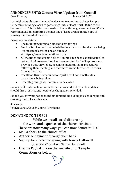#### **ANNOUNCEMENTS: Corona Virus Update from Council**

Dear Friends, March 30, 2020

Last night church council made the decision to continue to keep Temple Lutheran's building closed to gatherings until at least April 30 due to the Coronavirus. This decision was made in line with the government and CDC's recommendation of limiting the meeting of large groups in the hope of slowing the spread of the virus.

Below are the details:

- The building will remain closed to gatherings
- Sunday Services will not be held in the sanctuary. Services are being live streamed at 9:30 a.m. on Sundays at: https://www.templelutheran.org
- All meetings and events held at Temple have been cancelled until at last April 30. An exception has been granted for 12-Step programs; provided that they follow recommended sanitizing procedures following their meeting and that there are no further restrictions from authorities.
- The Blood Drive, scheduled for April 1, will occur with extra precautions being taken.
- Great Beginnings will continue to be closed.

Council will continue to monitor the situation and will provide updates should these restrictions need to be changed or extended.

I thank you for your patience and understanding during this challenging and evolving time. Please stay safe.

Sincerely,

Pat Keaveney, Church Council President

# **DONATING TO TEMPLE**

While we are all social distancing,

the work and expenses of the church continue.

There are now many ways you can now donate to TLC

- Mail a check to the church office
- Authorize payment through your bank
- Sign up for electronic giving with Nancy Hallowell Questions? Contact [Nancy Hallowell](mailto:nancy.hallowell@gmail.com)
- Use the PayPal link on the website or in Temple Connections or below.

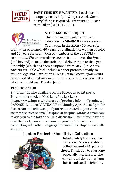

**PART TIME HELP WANTED**: Local start up company needs help 1-3 days a week. Some heavy lifting is required. Interested? Please text Gail at (610) 517-0304.



**STOLE MAKING PROJECT**

This year we are making stoles to celebrate the 50-40-10 Anniversary of Ordination in the ELCA - 50 years for

ordination of women, 40 years for ordination of women of color and 10 years for ordination of members of the LGBTQIA+ community. We are recruiting sewers from all over the Synod (and beyond) to make the stoles and deliver them to the Synod Assembly (which has been postponed from May 1). We have packets available which include a paper pattern, a ready-toiron-on logo and instructions. Please let me know if you would be interested in making one or more stoles or if you have extra fabric we could use. Thanks. Janet

#### **TLC BOOK CLUB**

(information also available on the Facebook event post): This month's book is "God Land" by Lyz Lenz

(http://www.iupress.indiana.edu/product\_info.php?products\_i d=809651). Join us VIRTUALLY on Monday April 6th at 8pm for discussion and fellowship! If you're interested to join via videoconference, please email Despina at despina.kontos@gmail.com to add you to the for the on-line discussion. Even if you haven't read the book, you are welcome to join for fellowship and connecting with other congregation members. Hope to virtually see you!

# **Lenten Project - Shoe Drive Collection**



Unfortunately the shoe drive has ended. We were able to collect around 244 pairs of shoes. Thank you to everyone, especially Ingrid Burd who coordinated donations from her friends and neighbors..